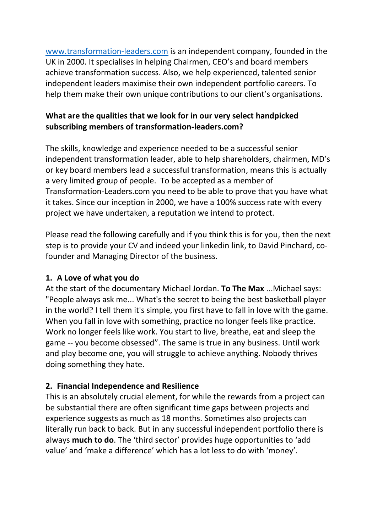[www.transformation-leaders.com](http://www.transformation-leaders.com/) is an independent company, founded in the UK in 2000. It specialises in helping Chairmen, CEO's and board members achieve transformation success. Also, we help experienced, talented senior independent leaders maximise their own independent portfolio careers. To help them make their own unique contributions to our client's organisations.

### **What are the qualities that we look for in our very select handpicked subscribing members of transformation-leaders.com?**

The skills, knowledge and experience needed to be a successful senior independent transformation leader, able to help shareholders, chairmen, MD's or key board members lead a successful transformation, means this is actually a very limited group of people. To be accepted as a member of Transformation-Leaders.com you need to be able to prove that you have what it takes. Since our inception in 2000, we have a 100% success rate with every project we have undertaken, a reputation we intend to protect.

Please read the following carefully and if you think this is for you, then the next step is to provide your CV and indeed your linkedin link, to David Pinchard, cofounder and Managing Director of the business.

#### **1. A Love of what you do**

At the start of the documentary Michael Jordan. **To The Max** ...Michael says: "People always ask me... What's the secret to being the best basketball player in the world? I tell them it's simple, you first have to fall in love with the game. When you fall in love with something, practice no longer feels like practice. Work no longer feels like work. You start to live, breathe, eat and sleep the game -- you become obsessed". The same is true in any business. Until work and play become one, you will struggle to achieve anything. Nobody thrives doing something they hate.

### **2. Financial Independence and Resilience**

This is an absolutely crucial element, for while the rewards from a project can be substantial there are often significant time gaps between projects and experience suggests as much as 18 months. Sometimes also projects can literally run back to back. But in any successful independent portfolio there is always **much to do**. The 'third sector' provides huge opportunities to 'add value' and 'make a difference' which has a lot less to do with 'money'.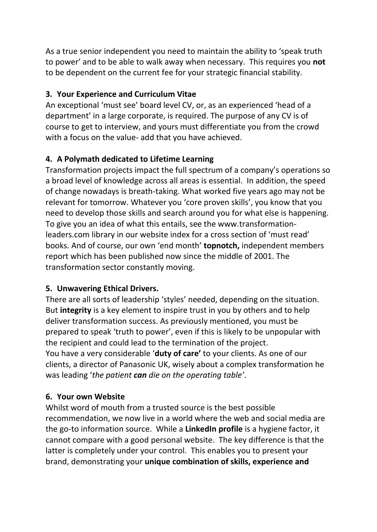As a true senior independent you need to maintain the ability to 'speak truth to power' and to be able to walk away when necessary. This requires you **not** to be dependent on the current fee for your strategic financial stability.

### **3. Your Experience and Curriculum Vitae**

An exceptional 'must see' board level CV, or, as an experienced 'head of a department' in a large corporate, is required. The purpose of any CV is of course to get to interview, and yours must differentiate you from the crowd with a focus on the value- add that you have achieved.

# **4. A Polymath dedicated to Lifetime Learning**

Transformation projects impact the full spectrum of a company's operations so a broad level of knowledge across all areas is essential. In addition, the speed of change nowadays is breath-taking. What worked five years ago may not be relevant for tomorrow. Whatever you 'core proven skills', you know that you need to develop those skills and search around you for what else is happening. To give you an idea of what this entails, see the www.transformationleaders.com library in our website index for a cross section of 'must read' books. And of course, our own 'end month' **topnotch,** independent members report which has been published now since the middle of 2001. The transformation sector constantly moving.

## **5. Unwavering Ethical Drivers.**

There are all sorts of leadership 'styles' needed, depending on the situation. But **integrity** is a key element to inspire trust in you by others and to help deliver transformation success. As previously mentioned, you must be prepared to speak 'truth to power', even if this is likely to be unpopular with the recipient and could lead to the termination of the project. You have a very considerable '**duty of care'** to your clients. As one of our clients, a director of Panasonic UK, wisely about a complex transformation he was leading '*the patient can die on the operating table'*.

## **6. Your own Website**

Whilst word of mouth from a trusted source is the best possible recommendation, we now live in a world where the web and social media are the go-to information source. While a **LinkedIn profile** is a hygiene factor, it cannot compare with a good personal website. The key difference is that the latter is completely under your control. This enables you to present your brand, demonstrating your **unique combination of skills, experience and**